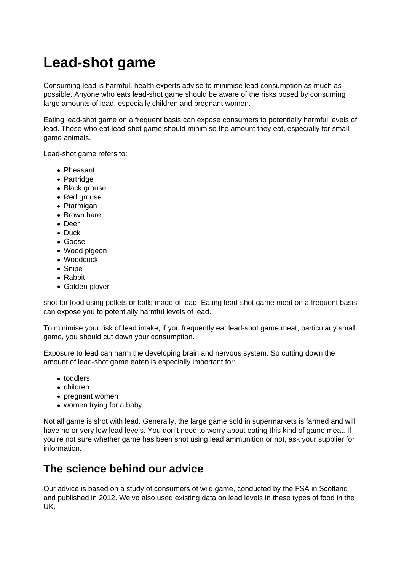## **Lead-shot game**

Consuming lead is harmful, health experts advise to minimise lead consumption as much as possible. Anyone who eats lead-shot game should be aware of the risks posed by consuming large amounts of lead, especially children and pregnant women.

Eating lead-shot game on a frequent basis can expose consumers to potentially harmful levels of lead. Those who eat lead-shot game should minimise the amount they eat, especially for small game animals.

Lead-shot game refers to:

- Pheasant
- Partridge
- Black grouse
- Red grouse
- Ptarmigan
- Brown hare
- Deer
- Duck
- Goose
- Wood pigeon
- Woodcock
- Snipe
- Rabbit
- Golden plover

shot for food using pellets or balls made of lead. Eating lead-shot game meat on a frequent basis can expose you to potentially harmful levels of lead.

To minimise your risk of lead intake, if you frequently eat lead-shot game meat, particularly small game, you should cut down your consumption.

Exposure to lead can harm the developing brain and nervous system. So cutting down the amount of lead-shot game eaten is especially important for:

- toddlers
- children
- pregnant women
- women trying for a baby

Not all game is shot with lead. Generally, the large game sold in supermarkets is farmed and will have no or very low lead levels. You don't need to worry about eating this kind of game meat. If you're not sure whether game has been shot using lead ammunition or not, ask your supplier for information.

## **The science behind our advice**

Our advice is based on a study of consumers of wild game, conducted by the FSA in Scotland and published in 2012. We've also used existing data on lead levels in these types of food in the UK.